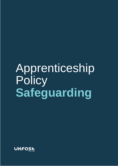# Apprenticeship **Policy Safeguarding**

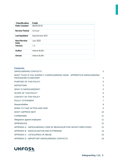| <b>Classification</b>      | <b>Public</b>    |
|----------------------------|------------------|
| <b>Date Created</b>        | 08/09/2018       |
| <b>Review Period</b>       | Annual           |
| <b>Last Updated</b>        | September 2021   |
| <b>Next Review</b><br>Date | <b>July 2022</b> |
| Version                    | 1.3              |
| Author                     | Arlene Bulfin    |
| Owner                      | Arlene Bulfin    |

| <b>Contents</b><br>SAFEGUARDING CONTACTS                                                        | 3  |
|-------------------------------------------------------------------------------------------------|----|
| WHAT TO DO IF YOU SUSPECT A SAFEGUARDING ISSUE - APPRENTICE SAFEGUARDING<br>PROCEDURE FLOWCHART | 4  |
| PURPOSE OF THIS POLICY                                                                          | 5  |
| <b>DEFINITIONS</b>                                                                              | 5  |
| <b>WHAT IS SAFEGUARDING?</b>                                                                    | 5  |
| <b>SCOPE OF THIS POLICY</b>                                                                     | 6  |
| <b>CONTEXT OF THIS POLICY</b>                                                                   | 6  |
| <b>POLICY STATEMENT</b>                                                                         | 7  |
| Responsibilities                                                                                | 8  |
| WHEN TO TAKE ACTION AND HOW                                                                     | 9  |
| <b>WHAT HAPPENS NEXT</b>                                                                        | 10 |
| Confidentiality                                                                                 | 11 |
| Allegations against employees                                                                   | 11 |
| <b>APPENDICES</b>                                                                               | 12 |
| APPENDIX A - SAFEGUARDING CODE OF BEHAVIOUR FOR UKFAST EMPLOYEES                                | 12 |
| APPENDIX B - RADICALISATION AND EXTREMISM                                                       | 14 |
| APPENDIX C - CATEGORIES OF ABUSE                                                                | 15 |
| APPENDIX D - IMPORTANT SAFEGUARDING CONTACTS                                                    | 16 |

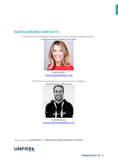## <span id="page-2-0"></span>**SAFEGUARDINGCONTACTS**

In the event of any safeguarding concerns, you must immediately contact: **Designated Safeguarding Lead (DSL)**



**Arlene Bulfin** [arlene.bulfin@UKFast.co.uk](mailto:arlene.bulfin@ukfast.co.uk)

If the DSL is unavailable, you must contact our deputy: **Deputy Safeguarding Lead**



**Tom Robinson** [thomas.robinson@UKFast.co.uk](mailto:thomas.robinson@ukfast.co.uk)

Please also see: **APPENDIX D – IMPORTANT SAFEGUARDING CONTACT**

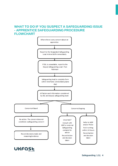#### <span id="page-3-0"></span>**WHAT TO DO IF YOU SUSPECT A SAFEGUARDING ISSUE - APPRENTICE SAFEGUARDING PROCEDURE FLOWCHART**



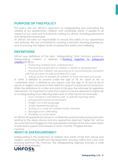# <span id="page-4-0"></span>**PURPOSE OF THIS POLICY**

This policy sets out UKFast's approach to safeguarding and promoting the welfare of our apprentices, children, and vulnerable adults. It applies to all aspects of our work and to everyone working for UKFast, including permanent and temporary employees.

At UKFast, we take our responsibility to ensure the safety of our apprentices very seriously. We are committed to creating a fantastic learning experience, and to ensuring the highest levels of apprentice safety and wellbeing.

#### <span id="page-4-1"></span>**DEFINITIONS**

UKFast uses definitions of the term 'safeguarding' from statutory guidance. Safeguarding children is defined in [Working together to safeguard](https://www.gov.uk/government/publications/working-together-to-safeguard-children--2)  [children\(](https://www.gov.uk/government/publications/working-together-to-safeguard-children--2)2018) as:

- Protecting children from maltreatment
- Preventing impairment of children's health or development
- Ensuring that children are growing up in circumstances consistent with the provision of safe and effective care
- Taking action to enable all children to have the best outcomes

A 'child' is defined as anyone under the age of 18. An 'adult at risk' or 'vulnerable adult' is defined as any person over the age of 18 and at risk of abuse or neglect because of their need for support or personal circumstance. While the definitions of a child and adult at risk give the rationale for legislative intervention, it is important to note that a person may be deemed at higher risk of a safeguarding issue affecting them due to other factors for example:

- Poor numeracy and literacy skill, or specific learning need
- Unsupportive home environment
- English not a first language
- Under-represented group
- Acting as a carer for another family member
- Background in offending
- Disability or social need

At UKFast all apprentices answer a confidential questionnaire during induction relating to the areas above and any apprentice deemed 'higher risk' will be documented and flagged to the appropriate member of the education team to add extra support and reassess in each monthly 'Progress Review'. Page Break

### <span id="page-4-2"></span>**WHAT IS SAFEGUARDING?**

Safeguarding is the protection of children and adults at risk from abuse and neglect, promoting health and development, ensuring safety and care, and ensuring optimum life chances. The Safeguarding Agenda includes a wide

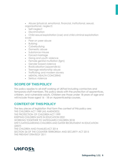• Abuse (physical, emotional, financial, institutional, sexual, organisational, neglect)

- Self-neglect
- Discrimination
- Child sexual exploitation (cse) and child criminal exploitation (cce)
- Peer on peer abuse
- Bullying
- Cyberbullying
- Domestic abuse
- Substance misuse
- Forced marriage
- Gang and youth violence
- Female genital mutilation (fgm)
- Gender based violence
- Radicalisation (appendix b)
- Teenage relationship abuse
- Trafficking and modern slavery
- MENTAL HEALTH CONCERNS
- Serious violence

## <span id="page-5-0"></span>**SCOPE OF THIS POLICY**

This policy applies to all staff working at UKFast including contactors and temporary staff members. This policy deals with the protection of apprentices, children, and vulnerable adults. Children are those under 18 years of age and will include those aged 16 - 18 on Apprenticeship courses.

### <span id="page-5-1"></span>**CONTEXT OF THIS POLICY**

The key pieces of legislation that form the context of this policy are: THE CHILDREN ACT 1989 (AS AMENDED) THE PROTECTION OF CHILDREN ACT 1999 KEEPING CHILDREN SAFE IN EDUCATION 2021 WORKING TOGETHER TO SAFEGUARD CHILDREN 2018 DFE'S SAFEGUARDING CHILDREN AND SAFER RECRUITMENT IN EDUCATION (2007) THE CHILDREN AND FAMILIES ACT 2014 SECTION 26 OF THE COUNTER-TERRORISM AND SECURITY ACT 2015 THE PREVENT STRATEGY 2011

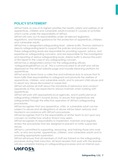# <span id="page-6-0"></span>**POLICY STATEMENT**

UKFast holds as one of its highest priorities the health, safety and welfare of all apprentices, children and vulnerable adults involved in courses or activities which come under the responsibility of UKFast.

UKFast will carry out its responsibilities under all relevant legislation,

regulations, and formal guidance for the protection of apprentices, children, and vulnerable adults.

UKFast has a designated safeguarding lead - arlene bulfin. Thomas robinson is deputy safeguarding lead to support the policies and procures in place. These safeguarding leads are responsible for providing support, advice, and expertise on safeguarding concerns, and are responsible for the investigation

and reporting of serious safeguarding issues. Arlene bulfin is always the point of first report in the case of any safeguarding concern.

UKFast has a designated contact for the safeguarding officers 'safeguarding@UKFast.co.uk'. This is communicated to all staff and will be displayed on the UKFast website page and moodle elearning platform for apprentices.

UKFast and its team have a collective and individual duty to ensure that its team fulfils their responsibilities to safeguard and promote the welfare of apprentices, children, and vulnerable adults, and to prevent child abuse and to report any abuse discovered or suspected.

UKFast will advise all staff about the standards of behaviour and conduct (appendix a) they are expected to always maintain when working with apprentices.

UKFast will work with appropriate local agencies, and in particular local safeguarding children's boards (lscbs), to ensure that apprentices are safeguarded through the effective operation of UKFast's safeguarding procedures.

UKFast recognises that any apprentice, child, or vulnerable adult can be subject to abuse and all allegations of abuse will be taken seriously and treated in accordance with UKFast's procedures.

UKFast recognises that it is the responsibility of all the team to act upon any concern no matter how small or trivial it may seem.

UKFast recognises its responsibility to implement, maintain and regularly review the procedures that are designed to prevent or notify suspected abuse.

UKFast is committed to supporting, resourcing, and training those who work with, or who encounter, apprentices, children, and vulnerable adults and to providing appropriate supervision.

UKFast will ensure that all members of staff are trained on the safeguarding processes during their induction. All team leaders that work with the learners will also complete training on safeguarding processes and an internal quiz.

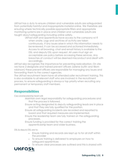UKFast has a duty to ensure children and vulnerable adults are safeguarded from potentially harmful and inappropriate material online. We therefore are ensuring where technically possible appropriate filters and appropriate monitoring systems are in place and children and vulnerable adults are taught about safeguarding including online safety.

> UKFast staff and apprentices have access to the company wi-fi when onsite. Logs and archives of activity are taken continuously. If any issues arise in which this information needs to be reviewed, it can be accessed and actioned immediately. Access to all browsing, chat and email history is available to the DSL and deputy DSL upon request. All users must sign an acceptable use policy before accessing these services. Any breaches of conduct will be deemed misconduct and dealt with accordingly.

UKFast also recognises the importance for preventing radicalisation. On site we have 2 designate and trained prevent officers (arlene bulfin and t8om robinson) these prevent officers are responsible for managing any issues and forwarding them to the correct agencies.

The UKFast recruitment team have all attended safer recruitment training. This is also available to all relevant staff who are involved in the recruitment process, to ensure safeguarding is always a top priority when recruiting any permanent or temporary staff members.

### <span id="page-7-0"></span>**Responsibilities**

Ceo and leadership team will:

Maintain own legal responsibility for safeguarding procedures and that the process is followed.

Ensure acting designated & deputy safeguarding leads are in place and that they are fully qualified for the position.

Ensure all safeguarding incidents are recorded and reported to board and that required measures are implemented.

Ensure the leadership team are fully trained on the safeguarding processes.

Ensure funding is provided for the correct training the apprenticeship team and wider business.

DSL & deputy DSL are to:

- Ensure training and records are kept up to for all staff within the provider
- To ensure training is delivered to employers on how to safeguard apprentices
- To ensure clear processes are outlined and this is shared with

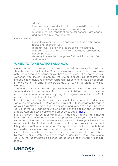all staff.

- To ensure learners understand their responsibilities and that safeguarding training is mentioned in induction.
- To ensure that any reports of causes for concerns are logged and actioned in a timely manner

Provider staff will:

- Ensure their yearly training is complete on time and reported to DSL and/or deputy DSL
- To be always vigilant in their interactions with learners.
- To report any concerns, and ensure they have followed the correct process.
- Never try to solve the issue yourself without first contact DSL and deputy DSL.

## <span id="page-8-0"></span>**WHEN TO TAKE ACTION AND HOW**

Once you suspect or know of any abuse of any child or vulnerable adult, you should immediately inform the DSL in person or by telephone. Even if you have only heard rumours of abuse, or you have a suspicion but do not have firm evidence, you should still contact the DSL to discuss your concerns. It is important to understand that your responsibilities extend to suspicion of abuse in any area of the child or vulnerable adult's life, not just onsite at UKFast Campus.

You must also contact the DSL if you know or suspect that a member of the team or student has a previous history of abuse of children and/or vulnerable adults. If you become aware of any allegations against a member of staff this must always be escalated to the DSL.

If a DSL is not immediately available, you should then contact the Education Team or a member of the HR team. You must not try to investigate the matter on your own. Not all employees are equipped or qualified to do so. Contact details for the DSLs can be found on page 2 of this booklet and on UKFast Moodle Apprenticeship policies and procedures page - [HERE.](https://moodle.ukfast.ac.uk/course/view.php?id=127)

If following your initial contact with a DSL, it is decided that the matter should be taken further, a written report must be prepared by the you and the DSL. A written report is essential to prevent any misrepresentation of your findings. The report should be factual and should not include opinions or personal interpretations of the facts presented. The report should contain as much detail as possible, including any apparent physical signs of abuse or other circumstances which led to suspicions, or the account given to you of abuse by the child or vulnerable adult concerned, as accurately as you are able to detail it. The report should be signed, dated and a copy stored in a secure place.

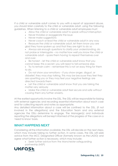If a child or vulnerable adult comes to you with a report of apparent abuse, you should listen carefully to the child or vulnerable adult, using the following guidelines. When listening to a child or vulnerable adult employees must:

- Allow the child or vulnerable adult to speak without interruption
- Never trivialise or exaggerate the issue
- Never make suggestions
- Never coach or lead the child or vulnerable adult in any way
- Reassure the child or vulnerable adult, let them know you are glad they have spoken up and that they are right to do so

• Always ask enough questions to clarify your understanding, do not probe or interrogate – no matter how well you know the child or vulnerable adult – spare them having to repeat themselves over and over.

• Be honest – let the child or vulnerable adult know that you cannot keep this a secret; you will need to tell someone else.

• Try to remain calm – remember this is not an easy thing for them to do.

• Do not show your emotions – if you show anger, disgust, or disbelief, they may stop talking. This may be because they feel they are upsetting you or they may feel your negative feelings are directed towards them

- Let the child or vulnerable adult know that you are taking the matter very seriously
- Make the child or vulnerable adult feel secure and safe without causing them any further anxiety.

At the earliest opportunity involve the DSL. The DSL will be responsible for liaising with external agencies and recording essential information about each case and for collecting reports and notes as appropriate.

Any detailed information about a case will be confined to the DSL, (if not involved in the allegations) and the Education Team and any external agencies the DSLs determine to engage. The Manager(s) and individuals reporting the allegations will be kept informed of the progress of the case on a 'need to know' basis.

### <span id="page-9-0"></span>**WHAT HAPPENS NEXT**

Considering all the information available, the DSL will decide on the next steps, which may include taking no further action. In some cases, the DSL will seek advice from the MCC Designated Officer (formerly known as the LADO) and agree what further action is necessary, which may include:

• Seek further advice from the Manchester safeguarding

partnership (MSP)

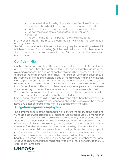• Undertake further investigation under the direction of the mcc designated officer/LADO or support an investigation by the MSP

- Make a referral to the appropriate agency, as signposted
- Report the incident to a designated social worker, as signposted

• Report the matter to the police if a crime is suspected If a referral is made, this must be confirmed in writing to the appropriate agency within 24 hours.

The DSL may consider that those involved may require counselling. Where it is felt there is a need for counselling (which could be for the child, other students, staff, parents, or carers involved) the DSL will make the necessary arrangements.

## <span id="page-10-0"></span>**Confidentiality**

Confidentiality and trust should be maintained as far as possible, but staff must act on the basis that the safety of the child and vulnerable adults is the overriding concern. The degree of confidentiality will be governed by the need to protect the child or vulnerable adults. The child or vulnerable adults should be informed at the earliest possible stage of the disclosure that the information will be passed on. All conversation regarding a child or vulnerable adults should always be held in private. UKFast complies with the requirements of the Data Protection Act 1998, which allows for disclosure of personal data where this is necessary to protect the vital interests of a child or vulnerable adult.

Whatever happens, you should always be open and honest with the child or vulnerable adult if you intend to take the case further.

Employees must not discuss the case with anyone other than those involved in the case. If employees have any concerns about the progress of the case or have any other concerns these must be discussed with the DSLs.

#### <span id="page-10-1"></span>**Allegations against employees**

The primary concern of the organisation is to ensure the safety of the child and vulnerable adult. It is essential in all cases of suspected abuse by a member of the team that action is taken quickly and professionally whatever the validity. There are occasions where a child or vulnerable adult will accuse a member of the team of physically or sexually abusing them. In some cases, this may be false or unfounded. However, in some cases the allegations may be true.

Any instance of a child or vulnerable adult being abused by an employee is particularly serious. On the other hand, for an innocent person to be accused of such an act is a serious ordeal which can result in long term damage to their health and career. If any employee suspects any other member of the team of abusing a student, it is their responsibility to bring these concerns to the DSL or HR Team immediately.

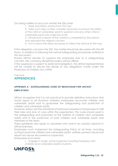On being notified of any such matter the DSLs shall:

1. Seek and follow advice from the msp

2. Take such steps as they consider necessary to ensure the safety of the child or vulnerable adult in question and any other child or vulnerable adult who might be at risk

3. Ensure that a report of the matter is completed by the person who reported the original concern

4. Put in place the steps necessary to follow the advice of the msp

If the allegation concerns the DSL, the matter should be discussed with the HR Team, in addition to following the normal safeguarding procedures outlined in this document.

Should UKFast decide to suspend the employee due to a safeguarding concern, the company disciplinary policy will be utilised.

If the suspension is subject to external investigation, the UKFast representatives will be unable to discuss the details of any allegations made under the Protection of Children Act (1999).

<span id="page-11-0"></span>Page Break **APPENDICES**

#### <span id="page-11-1"></span>**APPENDIX A - SAFEGUARDING CODE OF BEHAVIOUR FOR UKFAST EMPLOYEES**

UKFast recognises that it is not practical to provide definitive instructions that would apply to all situations whereby employees encounter children and vulnerable adults and to guarantee the safeguarding and protection of children and vulnerable adults.

However, below are the standards of behaviour required of employees to fulfil their roles and duty of care within the organisation. This code should assist in the safeguarding and promotion of the welfare of children and vulnerable adults and in the protection of both children and vulnerable adults and members of the team.

These guidelines also apply to volunteers who work in an unpaid capacity in UKFast premises.

Employees must: Implement the Safeguarding Policy at all times, including acting to promote children and vulnerable adults' welfare, prevent abuse and report any abuse discovered or suspected.

Employees must never:

• Engage in rough, physical games including horseplay with children and vulnerable adults/ students.

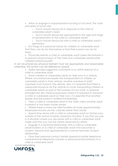• Allow or engage in inappropriate touching of any kind. The main principles of touch are:

O Touch should always be in response to the child or vulnerable adult's need

O Touch should always be appropriate to the age and stage of development of the child or vulnerable adults

O Touch should always be with a child or vulnerable adult's permission.

• Do things of a personal nature for children or vulnerable adult that they can do for themselves or that their parent can do for them.

• Physically restrain a child or vulnerable adult unless the restraint is

to prevent physical injury of the child and vulnerable adults/other children/visitors/yourself.

In all circumstances physical restraint must be appropriate and reasonable; otherwise, the action can be defined as assault.

• Make sexually suggestive comments to or within earshot of a child or vulnerable adult

• Have children or vulnerable adults on their own in a vehicle. Where circumstances require the transportation of children or vulnerable adults in their vehicle, another member of staff/ volunteer must travel in the vehicle. Also, it is essential that there is adequate insurance for the vehicle to cover transporting children or vulnerable adults as part of the business of your work. In extreme emergencies (for medical purposes) where it is required to transport a child or vulnerable adult on their own, it is essential that another leader and the parent is notified immediately

• Take a child or vulnerable adult to the toilet unless another adult is present or has been made aware

• Where there is share use toilet facilities all male apprenticeship employees should use the cubicles rather than urinals

• Spend time alone with a child or vulnerable adult on his/her own, outside of the normal tutorial/ classroom situation. If you find you are in a situation where you are alone with a child or vulnerable adult, make sure that you can be clearly observed by others.

• Engage in a personal relationship with a child or vulnerable adult/student, or a child or vulnerable adult who becomes a student, beyond that appropriate for a normal teacher/ student relationship.

• Give their personal contact details (personal mobile telephone number/home telephone number or personal email address) to a child or vulnerable adult

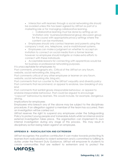• Interaction with learners through a social networking site should be avoided unless this has been agreed by UKFast as part of a marketing role or for managing collaborative learning.

O Collaborative learning must be done by setting up an 'invitation only' business/professional group discussion group for the course with appropriate privacy settings where the content can be monitored.

• Employees should only contact learners and parents using the company's mail, sms, telephone, and e-mail/intranet systems.

• Employees can make a judgment on whether to accept an invitation to connect on social media from a former learner, however no employee should instigate or make extra efforts to connect with these individuals.

• Acceptable reasons for connecting with apprentices would be for business or professional networking purposes.

It is unacceptable for employees to:

Post comments, photographs etc. Critical of the UKFast on any forum, website, social networking site, blog etc.

Post comments critical of any other employee or learner on any forum, website, social networking site, blog etc.

Post comments that run counter to the UKFast's equality and diversity policy Post comments that recommend, or appear to endorse, law-breaking of any kind

Post comments that exhibit grossly irresponsible behaviour, or appear to endorse irresponsible behaviour, that could be argued to encourage "copycat" behaviour by learners. This would include, for example, dangerous driving.

Implications for employees

Employees who breach any of the above may be subject to the disciplinary procedure. If an allegation against a member of the team has occurred, then an investigation will be carried out.

UKFast reserves the right to suspend any employee under the Safeguarding Policy to protect young people and Vulnerable Adults whilst an internal and/or external investigation takes place. The organisation can implement its own internal investigation during any stage of this process. This may result in disciplinary action being taken against an employee.

#### <span id="page-13-0"></span>**APPENDIX B - RADICALISATION AND EXTREMISM**

UKFast recognises the positive contribution it can make towards protecting its learners from radicalisation to violent extremism and is committed to fulfilling its duties under the Prevent Duty Guidance. UKFast will empower its students to create communities that are resilient to extremism and to protect the

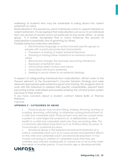wellbeing of students who may be vulnerable to being drawn into violent extremism or crime.

Radicalisation is the process by which individuals come to support terrorism or violent extremism. It is recognised that radicalisation can occur to an individual from any section of society and is not particular to any racial, ethnic, or social group. It is further recognised that in many instances the process of radicalisation is essentially one of grooming by others.

Possible behaviour indicators are below:

- Discriminatory language or actions towards specific groups or people with a particular protected characteristic
- Possession or sharing of violent extremist literature
- Showing or sharing online material of an extreme nature to others
- Behavioural changes (for example, becoming withdrawn)
- Expression of extremist views
- Advocating violent actions and means
- Association with known extremists
- Seeking to recruit others to an extremist ideology

In respect of safeguarding individuals from radicalisation, UKFast works to the Prevent element of the Government's Counter Terrorism Strategy and were deemed appropriate seeks external support and training. This program aims to work with the individual to address their specific vulnerabilities, prevent them becoming further radicalised and possibly entering the criminal justice system because of their actions.

If you have concerns about a student, contact Arlene Bulfin or Thomas Robinson

Page Break

#### <span id="page-14-0"></span>**APPENDIX C - CATEGORIES OF ABUSE**

• Physical abuse: may involve hitting, shaking, throwing, burning, or scalding, drowning, suffocating, or otherwise causing physical harm to a child and vulnerable adult. Physical harm may also be caused when a parent or carer feigns the symptoms of, or deliberately causes ill health to a child and vulnerable adult who they are looking after. This is commonly described using terms such as 'fictitious illness by proxy 'or 'munchausen's syndrome by proxy'.

• Emotional abuse: is the persistent emotional ill-treatment of a child or vulnerable adult such as to cause severe and persistent effects on the child and vulnerable adult's emotional development. It may involve conveying to children or vulnerable adults that they are worthless and unloved, inadequate, or valued only so far as they meet the needs of another person. It may involve age or developmentally

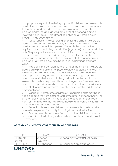inappropriate expectations being imposed in children and vulnerable adults. It may involve causing children or vulnerable adults frequently to feel frightened or in danger, or the exploitation or corruption of children and vulnerable adults. Some level of emotional abuse is involved in all types of ill-treatment of a child or vulnerable adult, though it may occur alone.

Sexual abuse: involves forcing or enticing a child or vulnerable adult to take part in sexual activities, whether the child or vulnerable adult is aware of what is happening. The activities may involve physical contact, including penetrative (e.g., rape) or non-penetrative acts. They may include non-contact activities, such as involving children or vulnerable adults in looking at, or in the production of, pornographic materials or watching sexual activities, or encouraging children or vulnerable adults to behave in sexually inappropriate ways.

• Neglect: is the persistent failure to meet the child's or vulnerable adult's basic physical and / or psychological needs, likely to result in the serious impairment of the child or vulnerable adult's health or development. It may involve a parent or carer failing to provide adequate food, shelter and clothing, failure to protect a child or vulnerable adults from physical harm or danger, or failure to ensure access to appropriate medical care or treatment. It may also include neglect of, or unresponsiveness to, a child or vulnerable adult's basic emotional needs.

• Significant harm: some children or vulnerable adults may be in need because they are suffering or likely to suffer significant harm. The children act v section 47 (1) introduced the concept of significant harm as the threshold that justifies compulsory intervention in family life in the best interest of the children.

• Financial abuse: some children and vulnerable adults may be abused or exploited financially including fraud and extortion.

• Peer to peer abuse: abuse from a child to child. The abuse could be but not limied to bullying, cyber bully, physical abuse and sexual harrassment.

#### <span id="page-15-0"></span>**APPENDIX D - IMPORTANT SAFEGUARDING CONTACTS**

| $R \cap F$           | <b>NAME</b>  | <b>CONTACT</b>                |
|----------------------|--------------|-------------------------------|
| <b>HR Director -</b> | Rebecca      | Rebecca.crawford@UKFast.co.uk |
| <b>IUKFast</b>       | Crawford     |                               |
| CEO - UKFast         | Paul Shannon | Paul.shannon@ansgroup.co.uk   |